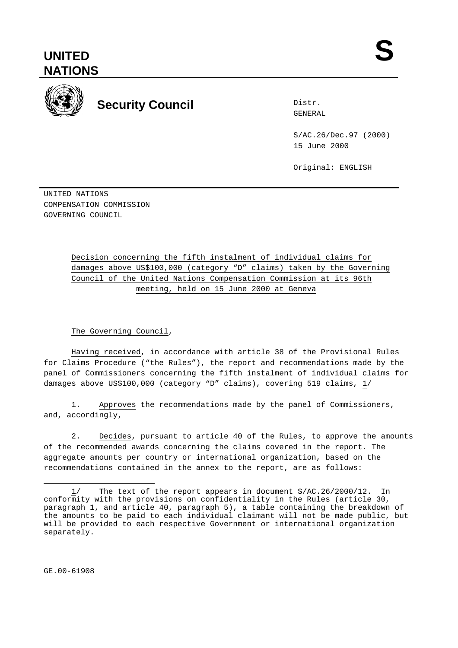# **UNITED NATIONS**



# **Security Council Security Council**

Distr.

S/AC.26/Dec.97 (2000) 15 June 2000

Original: ENGLISH

UNITED NATIONS COMPENSATION COMMISSION GOVERNING COUNCIL

> Decision concerning the fifth instalment of individual claims for damages above US\$100,000 (category "D" claims) taken by the Governing Council of the United Nations Compensation Commission at its 96th meeting, held on 15 June 2000 at Geneva

### The Governing Council,

Having received, in accordance with article 38 of the Provisional Rules for Claims Procedure ("the Rules"), the report and recommendations made by the panel of Commissioners concerning the fifth instalment of individual claims for damages above US\$100,000 (category "D" claims), covering 519 claims, 1/

1. Approves the recommendations made by the panel of Commissioners, and, accordingly,

2. Decides, pursuant to article 40 of the Rules, to approve the amounts of the recommended awards concerning the claims covered in the report. The aggregate amounts per country or international organization, based on the recommendations contained in the annex to the report, are as follows:

GE.00-61908

 $\overline{a}$ 1/ The text of the report appears in document S/AC.26/2000/12. In conformity with the provisions on confidentiality in the Rules (article 30, paragraph 1, and article 40, paragraph 5), a table containing the breakdown of the amounts to be paid to each individual claimant will not be made public, but will be provided to each respective Government or international organization separately.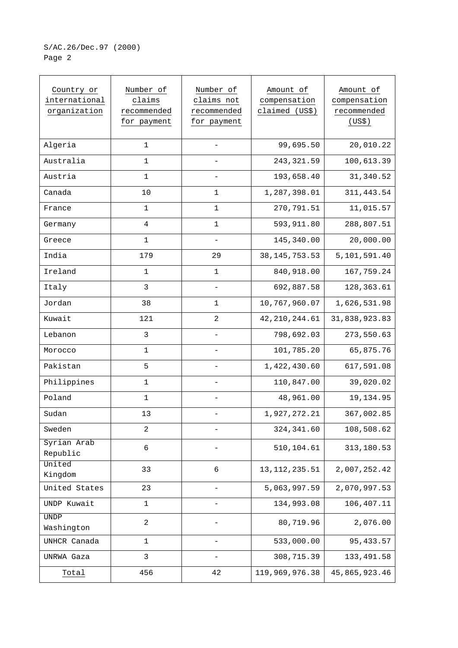## S/AC.26/Dec.97 (2000) Page 2

| Country or<br>international<br>organization | Number of<br>claims<br>recommended<br>for payment | Number of<br>claims not<br>recommended<br>for payment | Amount of<br>compensation<br>claimed (US\$) | Amount of<br>compensation<br>recommended<br>(US\$) |
|---------------------------------------------|---------------------------------------------------|-------------------------------------------------------|---------------------------------------------|----------------------------------------------------|
| Algeria                                     | $\mathbf{1}$                                      |                                                       | 99,695.50                                   | 20,010.22                                          |
| Australia                                   | $1\,$                                             |                                                       | 243, 321.59                                 | 100,613.39                                         |
| Austria                                     | 1                                                 |                                                       | 193,658.40                                  | 31, 340.52                                         |
| Canada                                      | 10                                                | 1                                                     | 1,287,398.01                                | 311, 443.54                                        |
| France                                      | $\mathbf 1$                                       | $\mathbf{1}$                                          | 270,791.51                                  | 11,015.57                                          |
| Germany                                     | $\overline{4}$                                    | $\mathbf{1}$                                          | 593,911.80                                  | 288,807.51                                         |
| Greece                                      | 1                                                 |                                                       | 145,340.00                                  | 20,000.00                                          |
| India                                       | 179                                               | 29                                                    | 38, 145, 753. 53                            | 5,101,591.40                                       |
| Ireland                                     | $\mathbf 1$                                       | $\mathbf{1}$                                          | 840,918.00                                  | 167,759.24                                         |
| Italy                                       | 3                                                 |                                                       | 692,887.58                                  | 128,363.61                                         |
| Jordan                                      | 38                                                | 1                                                     | 10,767,960.07                               | 1,626,531.98                                       |
| Kuwait                                      | 121                                               | $\overline{a}$                                        | 42, 210, 244.61                             | 31,838,923.83                                      |
| Lebanon                                     | 3                                                 |                                                       | 798,692.03                                  | 273,550.63                                         |
| Morocco                                     | $\mathbf 1$                                       |                                                       | 101,785.20                                  | 65,875.76                                          |
| Pakistan                                    | 5                                                 |                                                       | 1,422,430.60                                | 617,591.08                                         |
| Philippines                                 | $\mathbf 1$                                       |                                                       | 110,847.00                                  | 39,020.02                                          |
| Poland                                      | $\mathbf{1}$                                      |                                                       | 48,961.00                                   | 19,134.95                                          |
| Sudan                                       | 13                                                |                                                       | 1,927,272.21                                | 367,002.85                                         |
| Sweden                                      | $\mathbf{2}$                                      |                                                       | 324, 341.60                                 | 108,508.62                                         |
| Syrian Arab<br>Republic                     | 6                                                 |                                                       | 510,104.61                                  | 313,180.53                                         |
| United<br>Kingdom                           | 33                                                | 6                                                     | 13, 112, 235.51                             | 2,007,252.42                                       |
| United States                               | 23                                                | -                                                     | 5,063,997.59                                | 2,070,997.53                                       |
| UNDP Kuwait                                 | $\mathbf{1}$                                      |                                                       | 134,993.08                                  | 106,407.11                                         |
| <b>UNDP</b><br>Washington                   | $\sqrt{2}$                                        |                                                       | 80,719.96                                   | 2,076.00                                           |
| UNHCR Canada                                | $\mathbf{1}$                                      |                                                       | 533,000.00                                  | 95, 433.57                                         |
| UNRWA Gaza                                  | 3                                                 |                                                       | 308,715.39                                  | 133, 491.58                                        |
| Total                                       | 456                                               | 42                                                    | 119,969,976.38                              | 45,865,923.46                                      |